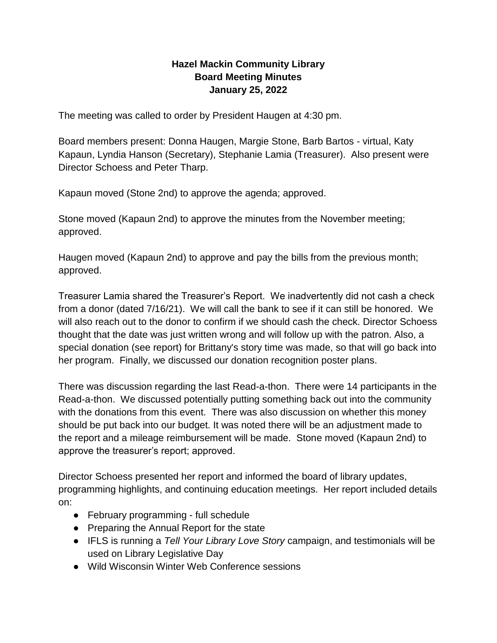## **Hazel Mackin Community Library Board Meeting Minutes January 25, 2022**

The meeting was called to order by President Haugen at 4:30 pm.

Board members present: Donna Haugen, Margie Stone, Barb Bartos - virtual, Katy Kapaun, Lyndia Hanson (Secretary), Stephanie Lamia (Treasurer). Also present were Director Schoess and Peter Tharp.

Kapaun moved (Stone 2nd) to approve the agenda; approved.

Stone moved (Kapaun 2nd) to approve the minutes from the November meeting; approved.

Haugen moved (Kapaun 2nd) to approve and pay the bills from the previous month; approved.

Treasurer Lamia shared the Treasurer's Report. We inadvertently did not cash a check from a donor (dated 7/16/21). We will call the bank to see if it can still be honored. We will also reach out to the donor to confirm if we should cash the check. Director Schoess thought that the date was just written wrong and will follow up with the patron. Also, a special donation (see report) for Brittany's story time was made, so that will go back into her program. Finally, we discussed our donation recognition poster plans.

There was discussion regarding the last Read-a-thon. There were 14 participants in the Read-a-thon. We discussed potentially putting something back out into the community with the donations from this event. There was also discussion on whether this money should be put back into our budget. It was noted there will be an adjustment made to the report and a mileage reimbursement will be made. Stone moved (Kapaun 2nd) to approve the treasurer's report; approved.

Director Schoess presented her report and informed the board of library updates, programming highlights, and continuing education meetings. Her report included details on:

- February programming full schedule
- Preparing the Annual Report for the state
- IFLS is running a *Tell Your Library Love Story* campaign, and testimonials will be used on Library Legislative Day
- Wild Wisconsin Winter Web Conference sessions